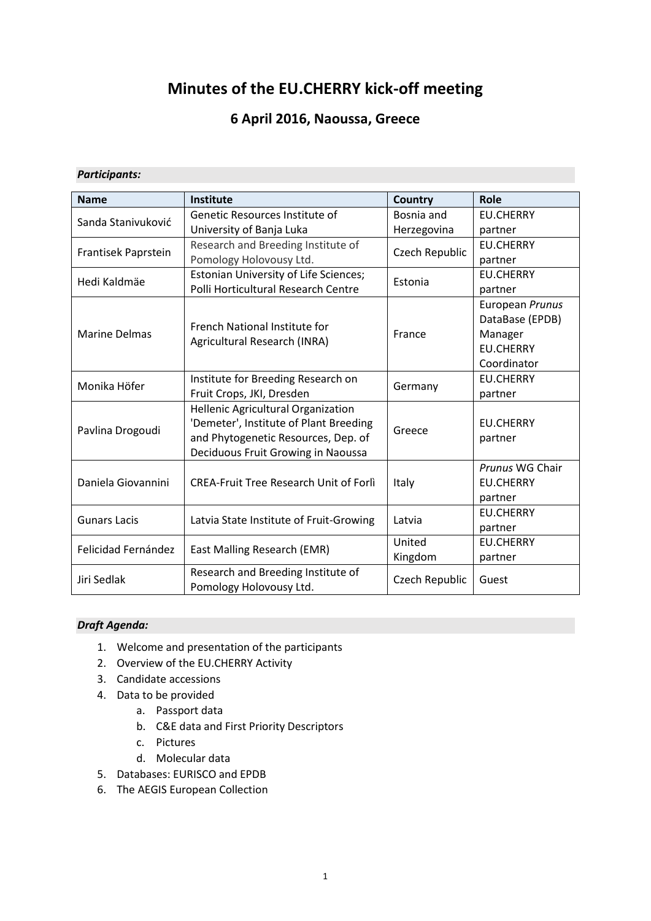# **Minutes of the EU.CHERRY kick-off meeting**

## **6 April 2016, Naoussa, Greece**

#### *Participants:*

| <b>Name</b>          | Institute                                                     | Country        | Role             |  |
|----------------------|---------------------------------------------------------------|----------------|------------------|--|
| Sanda Stanivuković   | Genetic Resources Institute of                                | Bosnia and     | <b>EU.CHERRY</b> |  |
|                      | University of Banja Luka                                      | Herzegovina    | partner          |  |
| Frantisek Paprstein  | Research and Breeding Institute of                            | Czech Republic | <b>EU.CHERRY</b> |  |
|                      | Pomology Holovousy Ltd.                                       |                | partner          |  |
| Hedi Kaldmäe         | Estonian University of Life Sciences;                         | Estonia        | <b>EU.CHERRY</b> |  |
|                      | Polli Horticultural Research Centre                           |                | partner          |  |
|                      |                                                               |                | European Prunus  |  |
|                      | French National Institute for                                 |                | DataBase (EPDB)  |  |
| <b>Marine Delmas</b> | Agricultural Research (INRA)                                  | France         | Manager          |  |
|                      |                                                               |                | <b>EU.CHERRY</b> |  |
|                      |                                                               |                | Coordinator      |  |
| Monika Höfer         | Institute for Breeding Research on                            | Germany        | <b>EU.CHERRY</b> |  |
|                      | Fruit Crops, JKI, Dresden                                     |                | partner          |  |
|                      | <b>Hellenic Agricultural Organization</b>                     |                |                  |  |
| Pavlina Drogoudi     | 'Demeter', Institute of Plant Breeding                        | Greece         | <b>EU.CHERRY</b> |  |
|                      | and Phytogenetic Resources, Dep. of                           |                | partner          |  |
|                      | Deciduous Fruit Growing in Naoussa                            |                |                  |  |
|                      |                                                               |                | Prunus WG Chair  |  |
| Daniela Giovannini   | <b>CREA-Fruit Tree Research Unit of Forli</b>                 | Italy          | <b>EU.CHERRY</b> |  |
|                      |                                                               |                | partner          |  |
| <b>Gunars Lacis</b>  | Latvia State Institute of Fruit-Growing                       | Latvia         | <b>EU.CHERRY</b> |  |
|                      |                                                               |                | partner          |  |
| Felicidad Fernández  | East Malling Research (EMR)                                   | United         | <b>EU.CHERRY</b> |  |
|                      |                                                               | Kingdom        | partner          |  |
| Jiri Sedlak          | Research and Breeding Institute of<br>Pomology Holovousy Ltd. |                | Guest            |  |

#### *Draft Agenda:*

- 1. Welcome and presentation of the participants
- 2. Overview of the EU.CHERRY Activity
- 3. Candidate accessions
- 4. Data to be provided
	- a. Passport data
	- b. C&E data and First Priority Descriptors
	- c. Pictures
	- d. Molecular data
- 5. Databases: EURISCO and EPDB
- 6. The AEGIS European Collection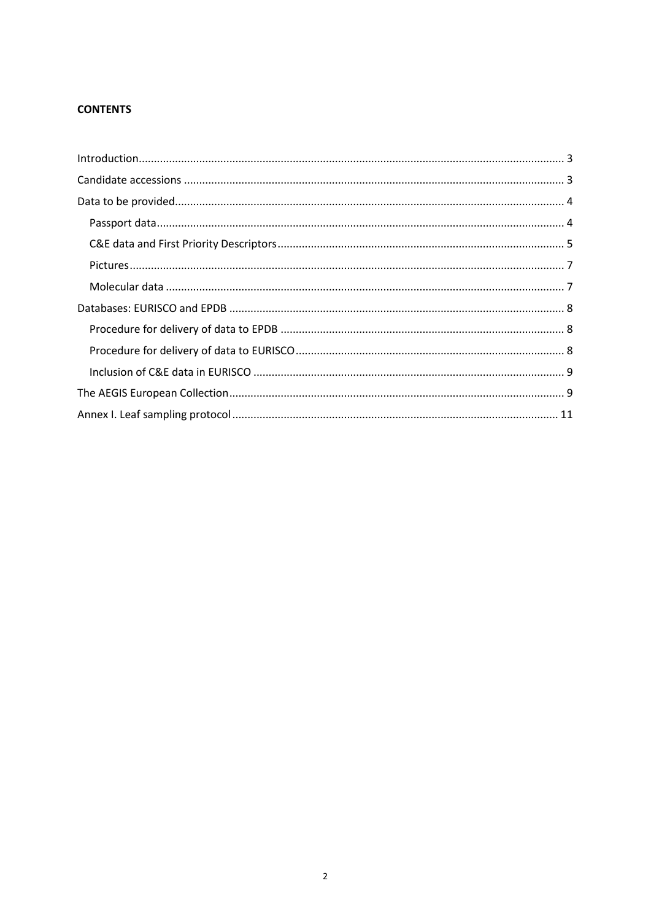### **CONTENTS**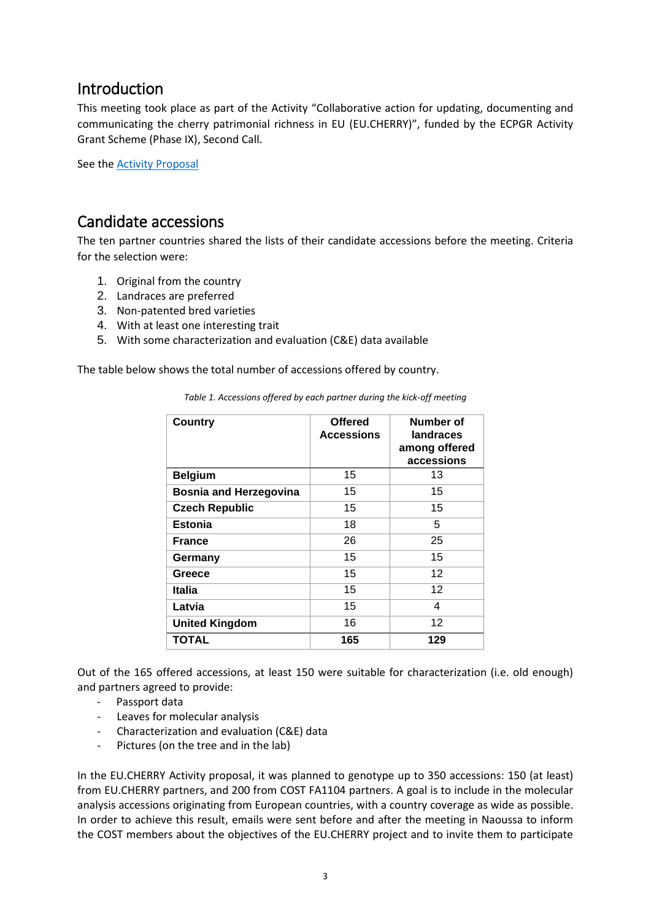## Introduction

This meeting took place as part of the Activity "Collaborative action for updating, documenting and communicating the cherry patrimonial richness in EU (EU.CHERRY)", funded by the ECPGR Activity Grant Scheme (Phase IX), Second Call.

See the [Activity Proposal](http://www.ecpgr.cgiar.org/fileadmin/templates/ecpgr.org/upload/ACTIVITY_GRANT_SCHEME/SECOND_CALL/Proposals_received_2nd_call/5.EU.CHERRY_Activity_Proposal.pdf)

## Candidate accessions

The ten partner countries shared the lists of their candidate accessions before the meeting. Criteria for the selection were:

- 1. Original from the country
- 2. Landraces are preferred
- 3. Non-patented bred varieties
- 4. With at least one interesting trait
- 5. With some characterization and evaluation (C&E) data available

The table below shows the total number of accessions offered by country.

| <b>Country</b>                | <b>Offered</b><br><b>Accessions</b> | Number of<br>landraces<br>among offered<br>accessions |
|-------------------------------|-------------------------------------|-------------------------------------------------------|
| <b>Belgium</b>                | 15                                  | 13                                                    |
| <b>Bosnia and Herzegovina</b> | 15                                  | 15                                                    |
| <b>Czech Republic</b>         | 15                                  | 15                                                    |
| <b>Estonia</b>                | 18                                  | 5                                                     |
| <b>France</b>                 | 26                                  | 25                                                    |
| Germany                       | 15                                  | 15                                                    |
| Greece                        | 15                                  | 12 <sup>2</sup>                                       |
| Italia                        | 15                                  | 12 <sup>2</sup>                                       |
| Latvia                        | 15                                  | 4                                                     |
| <b>United Kingdom</b>         | 16                                  | 12                                                    |
| <b>TOTAL</b>                  | 165                                 | 129                                                   |

*Table 1. Accessions offered by each partner during the kick-off meeting*

Out of the 165 offered accessions, at least 150 were suitable for characterization (i.e. old enough) and partners agreed to provide:

- Passport data
- Leaves for molecular analysis
- Characterization and evaluation (C&E) data
- Pictures (on the tree and in the lab)

In the EU.CHERRY Activity proposal, it was planned to genotype up to 350 accessions: 150 (at least) from EU.CHERRY partners, and 200 from COST FA1104 partners. A goal is to include in the molecular analysis accessions originating from European countries, with a country coverage as wide as possible. In order to achieve this result, emails were sent before and after the meeting in Naoussa to inform the COST members about the objectives of the EU.CHERRY project and to invite them to participate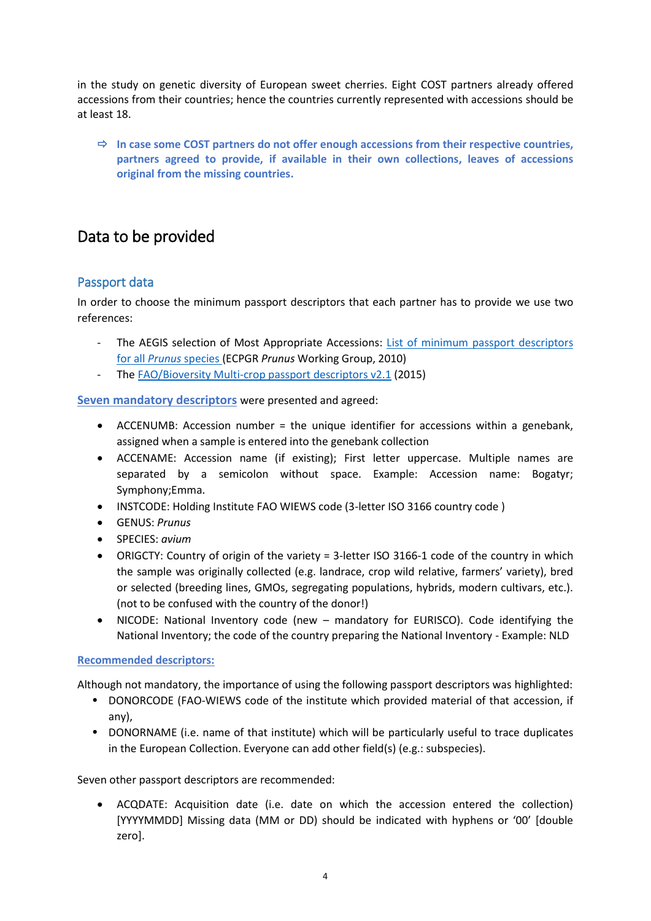in the study on genetic diversity of European sweet cherries. Eight COST partners already offered accessions from their countries; hence the countries currently represented with accessions should be at least 18.

 **In case some COST partners do not offer enough accessions from their respective countries, partners agreed to provide, if available in their own collections, leaves of accessions original from the missing countries.**

# Data to be provided

## Passport data

In order to choose the minimum passport descriptors that each partner has to provide we use two references:

- The AEGIS selection of Most Appropriate Accessions: List of minimum passport descriptors for all *Prunus* [species](http://www.ecpgr.cgiar.org/fileadmin/templates/ecpgr.org/upload/NW_and_WG_UPLOADS/Prunus/ECPGR-AEGIS-List_Minimum_Passport_November_2010_corrected_140312.pdf) (ECPGR *Prunus* Working Group, 2010)
- The [FAO/Bioversity Multi-crop passport descriptors v2.1](http://www.bioversityinternational.org/fileadmin/user_upload/online_library/publications/pdfs/FAOBIOVERSITY_MULTI-CROP_PASSPORT_DESCRIPTORS_V.2.1_2015_2020.pdf) (2015)

**Seven mandatory descriptors** were presented and agreed:

- ACCENUMB: Accession number = the unique identifier for accessions within a genebank, assigned when a sample is entered into the genebank collection
- ACCENAME: Accession name (if existing); First letter uppercase. Multiple names are separated by a semicolon without space. Example: Accession name: Bogatyr; Symphony;Emma.
- INSTCODE: Holding Institute FAO WIEWS code (3-letter ISO 3166 country code )
- GENUS: *Prunus*
- SPECIES: *avium*
- ORIGCTY: Country of origin of the variety = 3-letter ISO 3166-1 code of the country in which the sample was originally collected (e.g. landrace, crop wild relative, farmers' variety), bred or selected (breeding lines, GMOs, segregating populations, hybrids, modern cultivars, etc.). (not to be confused with the country of the donor!)
- NICODE: National Inventory code (new mandatory for EURISCO). Code identifying the National Inventory; the code of the country preparing the National Inventory - Example: NLD

#### **Recommended descriptors:**

Although not mandatory, the importance of using the following passport descriptors was highlighted:

- DONORCODE (FAO-WIEWS code of the institute which provided material of that accession, if any),
- DONORNAME (i.e. name of that institute) which will be particularly useful to trace duplicates in the European Collection. Everyone can add other field(s) (e.g.: subspecies).

Seven other passport descriptors are recommended:

 ACQDATE: Acquisition date (i.e. date on which the accession entered the collection) [YYYYMMDD] Missing data (MM or DD) should be indicated with hyphens or '00' [double zero].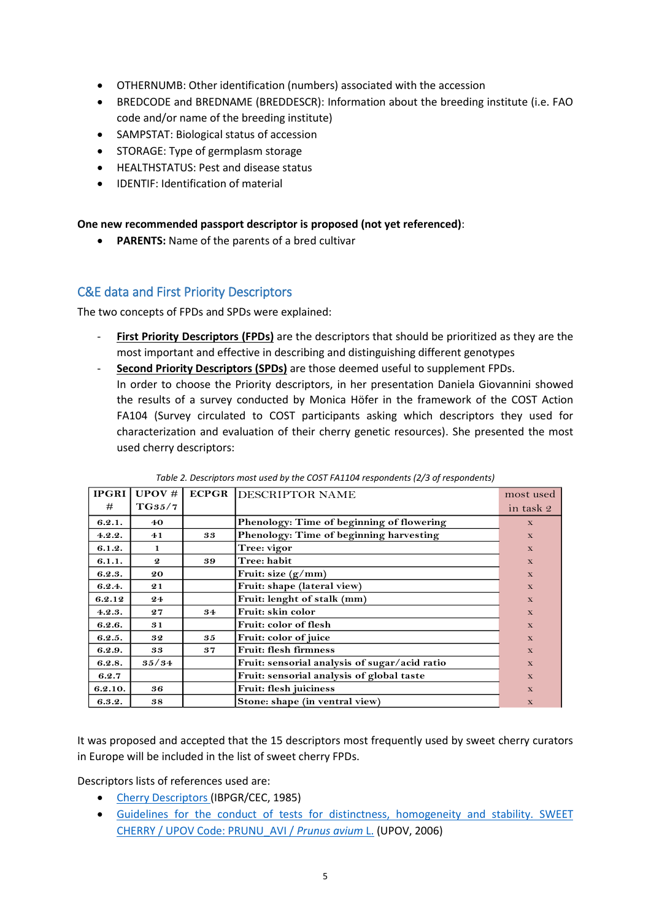- OTHERNUMB: Other identification (numbers) associated with the accession
- BREDCODE and BREDNAME (BREDDESCR): Information about the breeding institute (i.e. FAO code and/or name of the breeding institute)
- SAMPSTAT: Biological status of accession
- STORAGE: Type of germplasm storage
- HEALTHSTATUS: Pest and disease status
- IDENTIF: Identification of material

**One new recommended passport descriptor is proposed (not yet referenced)**:

**PARENTS:** Name of the parents of a bred cultivar

## C&E data and First Priority Descriptors

The two concepts of FPDs and SPDs were explained:

- First Priority Descriptors (FPDs) are the descriptors that should be prioritized as they are the most important and effective in describing and distinguishing different genotypes
- **Second Priority Descriptors (SPDs)** are those deemed useful to supplement FPDs. In order to choose the Priority descriptors, in her presentation Daniela Giovannini showed the results of a survey conducted by Monica Höfer in the framework of the COST Action FA104 (Survey circulated to COST participants asking which descriptors they used for characterization and evaluation of their cherry genetic resources). She presented the most used cherry descriptors:

| <b>IPGRI</b> | UPOV#            | <b>ECPGR</b> | <b>IDESCRIPTOR NAME</b>                       | most used    |
|--------------|------------------|--------------|-----------------------------------------------|--------------|
| #            | T G 35/7         |              |                                               | in task 2    |
| 6.2.1.       | 40               |              | Phenology: Time of beginning of flowering     | $\mathbf{x}$ |
| 4.2.2.       | 41               | 33           | Phenology: Time of beginning harvesting       | $\mathbf{x}$ |
| 6.1.2.       | 1                |              | Tree: vigor                                   | $\mathbf{x}$ |
| 6.1.1.       | $\boldsymbol{2}$ | 39           | Tree: habit                                   | $\mathbf{x}$ |
| 6.2.3.       | 20               |              | Fruit: size $(g/mm)$                          | $\mathbf{X}$ |
| 6.2.4.       | 21               |              | Fruit: shape (lateral view)                   | $\mathbf{x}$ |
| 6.2.12       | 24               |              | Fruit: lenght of stalk (mm)                   | $\mathbf{x}$ |
| 4.2.3.       | 27               | 34           | Fruit: skin color                             | $\mathbf{x}$ |
| 6.2.6.       | 31               |              | Fruit: color of flesh                         | $\mathbf{x}$ |
| 6.2.5.       | 32               | 35           | Fruit: color of juice                         | $\mathbf{x}$ |
| 6.2.9.       | 33               | 37           | <b>Fruit: flesh firmness</b>                  | $\mathbf{x}$ |
| 6.2.8.       | 35/34            |              | Fruit: sensorial analysis of sugar/acid ratio | $\mathbf{X}$ |
| 6.2.7        |                  |              | Fruit: sensorial analysis of global taste     | $\mathbf{x}$ |
| 6.2.10.      | 36               |              | <b>Fruit: flesh juiciness</b>                 | $\mathbf{x}$ |
| 6.3.2.       | 38               |              | Stone: shape (in ventral view)                | $\mathbf X$  |

*Table 2. Descriptors most used by the COST FA1104 respondents (2/3 of respondents)*

It was proposed and accepted that the 15 descriptors most frequently used by sweet cherry curators in Europe will be included in the list of sweet cherry FPDs.

Descriptors lists of references used are:

- [Cherry Descriptors \(](http://www.bioversityinternational.org/uploads/tx_news/Cherry_descriptors_357.pdf)IBPGR/CEC, 1985)
- [Guidelines for the conduct of tests for distinctness, homogeneity and stability. SWEET](http://www.upov.int/edocs/tgdocs/en/tg035.pdf)  [CHERRY / UPOV Code: PRUNU\\_AVI /](http://www.upov.int/edocs/tgdocs/en/tg035.pdf) *Prunus avium* L. (UPOV, 2006)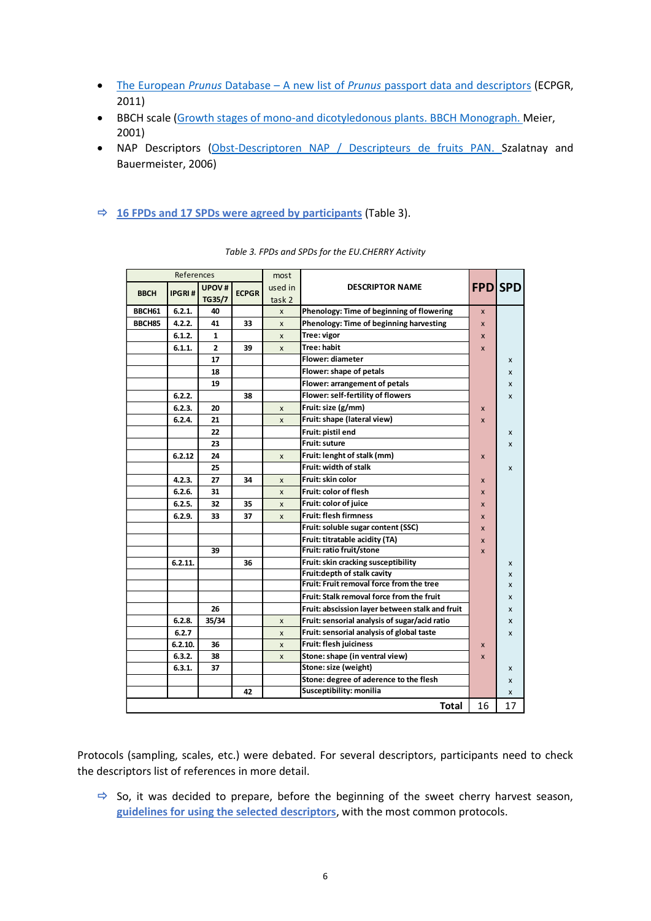- The European *Prunus* Database A new list of *Prunus* [passport data and descriptors](http://www.ecpgr.cgiar.org/fileadmin/templates/ecpgr.org/upload/NW_and_WG_UPLOADS/Prunus/EPDB_New_list_of_descriptors_2011.pdf) (ECPGR, 2011)
- BBCH scale [\(Growth stages of mono-and dicotyledonous plants. BBCH Monograph.](https://www.google.fr/url?sa=t&rct=j&q=&esrc=s&source=web&cd=1&ved=0ahUKEwiP-KqpzsXOAhXDBBoKHR0qAisQFggjMAA&url=http%3A%2F%2Fwww.jki.bund.de%2Ffileadmin%2Fdam_uploads%2F_veroeff%2Fbbch%2FBBCH-Skala_englisch.pdf&usg=AFQjCNG_iG5rTXmS4XZO45oDx0spRZ19LA&sig2=01jz0rClqDi1MZYuGbXtdw&cad=rja) Meier, 2001)
- NAP Descriptors [\(Obst-Descriptoren NAP / Descripteurs de fruits PAN.](https://www.google.fr/url?sa=t&rct=j&q=&esrc=s&source=web&cd=1&ved=0ahUKEwiD2-Ohi5rKAhUByxoKHcJ3Ai4QFggjMAA&url=http%3A%2F%2Fwww.fructus.ch%2Fassets%2Fplugindata%2Fpoola%2Fdeskriptoren-handbuch_nap.pdf&usg=AFQjCNG8Ce0a3UDjMohDGD24T_mEuC0iLQ&sig2=arNQDWV3VH3ntwhsjrII3w&cad=rja) Szalatnay and Bauermeister, 2006)
- **16 FPDs and 17 SPDs were agreed by participants** (Table 3).

| References  |               | most         |              |                |                                                 |              |                  |
|-------------|---------------|--------------|--------------|----------------|-------------------------------------------------|--------------|------------------|
|             |               | <b>UPOV#</b> |              | used in        | <b>DESCRIPTOR NAME</b>                          |              | <b>FPD</b> SPD   |
| <b>BBCH</b> | <b>IPGRI#</b> | TG35/7       | <b>ECPGR</b> | task 2         |                                                 |              |                  |
| BBCH61      | 6.2.1.        | 40           |              | $\pmb{\times}$ | Phenology: Time of beginning of flowering       | $\mathsf{x}$ |                  |
| BBCH85      | 4.2.2.        | 41           | 33           | X              | Phenology: Time of beginning harvesting         | $\mathsf{x}$ |                  |
|             | 6.1.2.        | 1            |              | $\mathsf{x}$   | Tree: vigor                                     | $\mathsf{x}$ |                  |
|             | 6.1.1.        | $\mathbf{2}$ | 39           | X              | Tree: habit                                     | $\mathsf{x}$ |                  |
|             |               | 17           |              |                | Flower: diameter                                |              | x                |
|             |               | 18           |              |                | Flower: shape of petals                         |              | X                |
|             |               | 19           |              |                | Flower: arrangement of petals                   |              | X                |
|             | 6.2.2.        |              | 38           |                | Flower: self-fertility of flowers               |              | X                |
|             | 6.2.3.        | 20           |              | X              | Fruit: size (g/mm)                              | X            |                  |
|             | 6.2.4.        | 21           |              | $\mathsf{x}$   | Fruit: shape (lateral view)                     | $\mathsf{x}$ |                  |
|             |               | 22           |              |                | Fruit: pistil end                               |              | x                |
|             |               | 23           |              |                | <b>Fruit: suture</b>                            |              | $\boldsymbol{x}$ |
|             | 6.2.12        | 24           |              | X              | Fruit: lenght of stalk (mm)                     | X            |                  |
|             |               | 25           |              |                | Fruit: width of stalk                           |              | X                |
|             | 4.2.3.        | 27           | 34           | X              | Fruit: skin color                               | X            |                  |
|             | 6.2.6.        | 31           |              | X              | Fruit: color of flesh                           |              |                  |
|             | 6.2.5.        | 32           | 35           | X              | Fruit: color of juice                           |              |                  |
|             | 6.2.9.        | 33           | 37           | X              | <b>Fruit: flesh firmness</b>                    | X            |                  |
|             |               |              |              |                | Fruit: soluble sugar content (SSC)              |              |                  |
|             |               |              |              |                | Fruit: titratable acidity (TA)                  | X            |                  |
|             |               | 39           |              |                | Fruit: ratio fruit/stone                        | X            |                  |
|             | 6.2.11.       |              | 36           |                | Fruit: skin cracking susceptibility             |              | x                |
|             |               |              |              |                | Fruit: depth of stalk cavity                    |              | x                |
|             |               |              |              |                | Fruit: Fruit removal force from the tree        |              | X                |
|             |               |              |              |                | Fruit: Stalk removal force from the fruit       |              | X                |
|             |               | 26           |              |                | Fruit: abscission layer between stalk and fruit |              | X                |
|             | 6.2.8.        | 35/34        |              | X              | Fruit: sensorial analysis of sugar/acid ratio   |              | x                |
|             | 6.2.7         |              |              | $\mathsf{x}$   | Fruit: sensorial analysis of global taste       |              | X                |
|             | 6.2.10.       | 36           |              | X              | Fruit: flesh juiciness                          | X            |                  |
|             | 6.3.2.        | 38           |              | X              | Stone: shape (in ventral view)                  | $\mathsf{x}$ |                  |
|             | 6.3.1.        | 37           |              |                | Stone: size (weight)                            |              | x                |
|             |               |              |              |                | Stone: degree of aderence to the flesh          |              | X                |
|             |               |              | 42           |                | <b>Susceptibility: monilia</b>                  |              | x                |
|             |               |              |              |                | Total                                           | 16           | 17               |

*Table 3. FPDs and SPDs for the EU.CHERRY Activity*

Protocols (sampling, scales, etc.) were debated. For several descriptors, participants need to check the descriptors list of references in more detail.

 $\Rightarrow$  So, it was decided to prepare, before the beginning of the sweet cherry harvest season, **guidelines for using the selected descriptors**, with the most common protocols.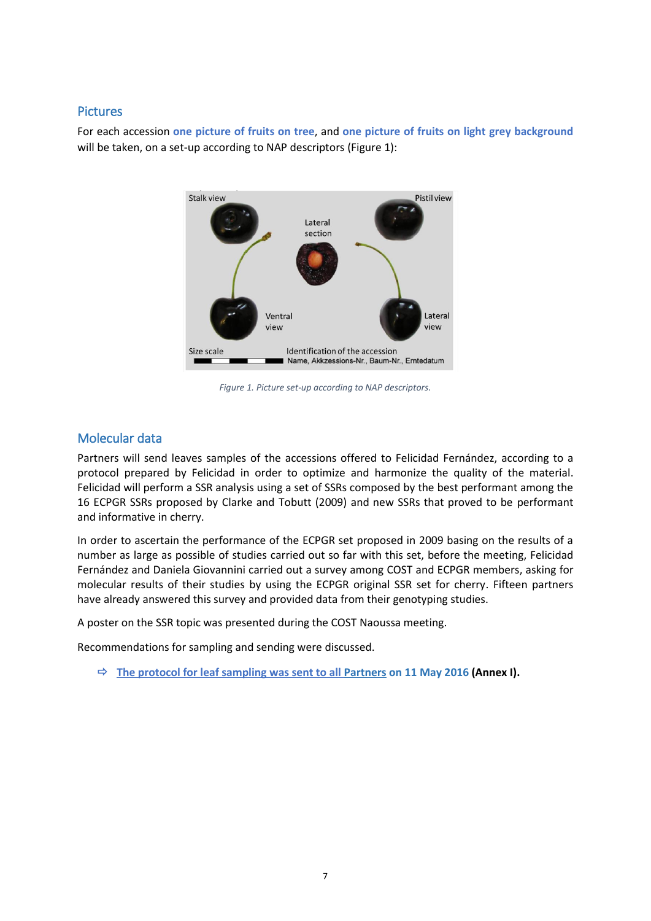#### Pictures

For each accession **one picture of fruits on tree**, and **one picture of fruits on light grey background** will be taken, on a set-up according to NAP descriptors (Figure 1):



*Figure 1. Picture set-up according to NAP descriptors.*

### Molecular data

Partners will send leaves samples of the accessions offered to Felicidad Fernández, according to a protocol prepared by Felicidad in order to optimize and harmonize the quality of the material. Felicidad will perform a SSR analysis using a set of SSRs composed by the best performant among the 16 ECPGR SSRs proposed by Clarke and Tobutt (2009) and new SSRs that proved to be performant and informative in cherry.

In order to ascertain the performance of the ECPGR set proposed in 2009 basing on the results of a number as large as possible of studies carried out so far with this set, before the meeting, Felicidad Fernández and Daniela Giovannini carried out a survey among COST and ECPGR members, asking for molecular results of their studies by using the ECPGR original SSR set for cherry. Fifteen partners have already answered this survey and provided data from their genotyping studies.

A poster on the SSR topic was presented during the COST Naoussa meeting.

Recommendations for sampling and sending were discussed.

**The protocol for leaf sampling was sent to all Partners on 11 May 2016 (Annex I).**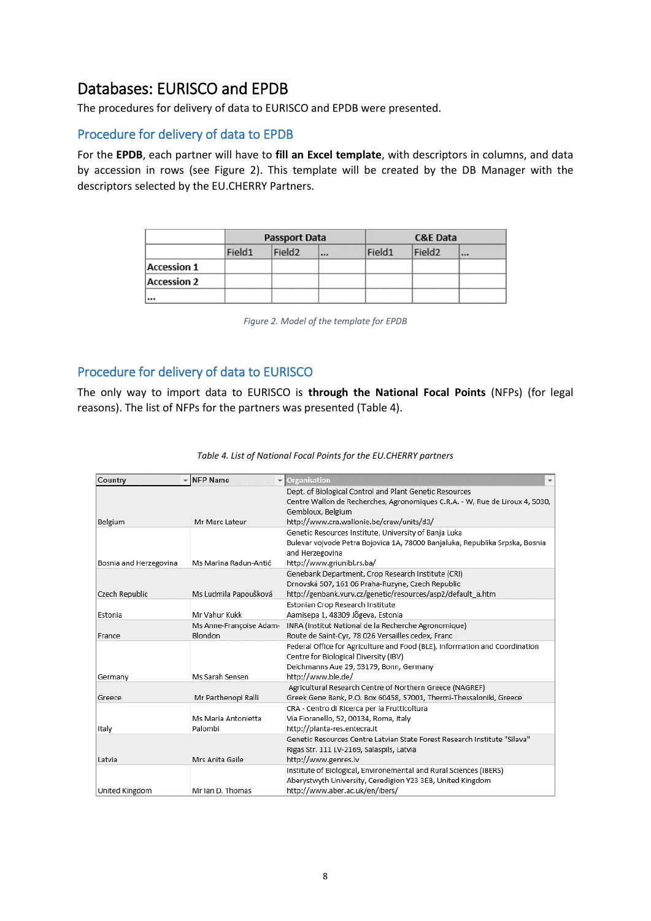# Databases: EURISCO and EPDB

The procedures for delivery of data to EURISCO and EPDB were presented.

#### Procedure for delivery of data to EPDB

For the **EPDB**, each partner will have to **fill an Excel template**, with descriptors in columns, and data by accession in rows (see Figure 2). This template will be created by the DB Manager with the descriptors selected by the EU.CHERRY Partners.

|                    |        | <b>Passport Data</b> |  |        | <b>C&amp;E Data</b> |  |  |
|--------------------|--------|----------------------|--|--------|---------------------|--|--|
|                    | Field1 | Field <sub>2</sub>   |  | Field1 | Field <sub>2</sub>  |  |  |
| <b>Accession 1</b> |        |                      |  |        |                     |  |  |
| <b>Accession 2</b> |        |                      |  |        |                     |  |  |
|                    |        |                      |  |        |                     |  |  |

*Figure 2. Model of the template for EPDB*

## Procedure for delivery of data to EURISCO

The only way to import data to EURISCO is **through the National Focal Points** (NFPs) (for legal reasons). The list of NFPs for the partners was presented (Table 4).

| Country                | - NFP Name                         | $\blacktriangleright$ Organisation<br>$\overline{\phantom{a}}$                                                                                                                                            |
|------------------------|------------------------------------|-----------------------------------------------------------------------------------------------------------------------------------------------------------------------------------------------------------|
| Belgium                | Mr Marc Lateur                     | Dept. of Biological Control and Plant Genetic Resources<br>Centre Wallon de Recherches, Agronomiques C.R.A. - W, Rue de Liroux 4, 5030,<br>Gembloux, Belgium<br>http://www.cra.wallonie.be/craw/units/d3/ |
| Bosnia and Herzegovina | Ms Marina Radun-Antić              | Genetic Resources Institute, University of Banja Luka<br>Bulevar vojvode Petra Bojovica 1A, 78000 Banjaluka, Republika Srpska, Bosnia<br>and Herzegovina<br>http://www.griunibl.rs.ba/                    |
| Czech Republic         | Ms Ludmila Papoušková              | Genebank Department, Crop Research Institute (CRI)<br>Drnovská 507, 161 06 Praha-Ruzyne, Czech Republic<br>http://genbank.vurv.cz/genetic/resources/asp2/default_a.htm                                    |
| Estonia                | Mr Vahur Kukk                      | Estonian Crop Research Institute<br>Aamisepa 1, 48309 Jõgeva, Estonia                                                                                                                                     |
| France                 | Ms Anne-Françoise Adam-<br>Blondon | INRA (Institut National de la Recherche Agronomique)<br>Route de Saint-Cyr, 78 026 Versailles cedex, Franc                                                                                                |
| Germany                | Ms Sarah Sensen                    | Federal Office for Agriculture and Food (BLE), Information and Coordination<br>Centre for Biological Diversity (IBV)<br>Deichmanns Aue 29, 53179, Bonn, Germany<br>http://www.ble.de/                     |
| Greece                 | Mr Parthenopi Ralli                | Agricultural Research Centre of Northern Greece (NAGREF)<br>Greek Gene Bank, P.O. Box 60458, 57001, Thermi-Thessaloniki, Greece                                                                           |
| Italy                  | Ms Maria Antonietta<br>Palombi     | CRA - Centro di Ricerca per la Frutticoltura<br>Via Fioranello, 52, 00134, Roma, Italy<br>http://planta-res.entecra.it                                                                                    |
| Latvia                 | Mrs Anita Gaile                    | Genetic Resources Centre Latvian State Forest Research Institute "Silava"<br>Rigas Str. 111 LV-2169, Salaspils, Latvia<br>http://www.genres.lv                                                            |
| United Kingdom         | Mr Ian D. Thomas                   | Institute of Biological, Environemental and Rural Sciences (IBERS)<br>Aberystwyth University, Ceredigion Y23 3EB, United Kingdom<br>http://www.aber.ac.uk/en/ibers/                                       |

#### *Table 4. List of National Focal Points for the EU.CHERRY partners*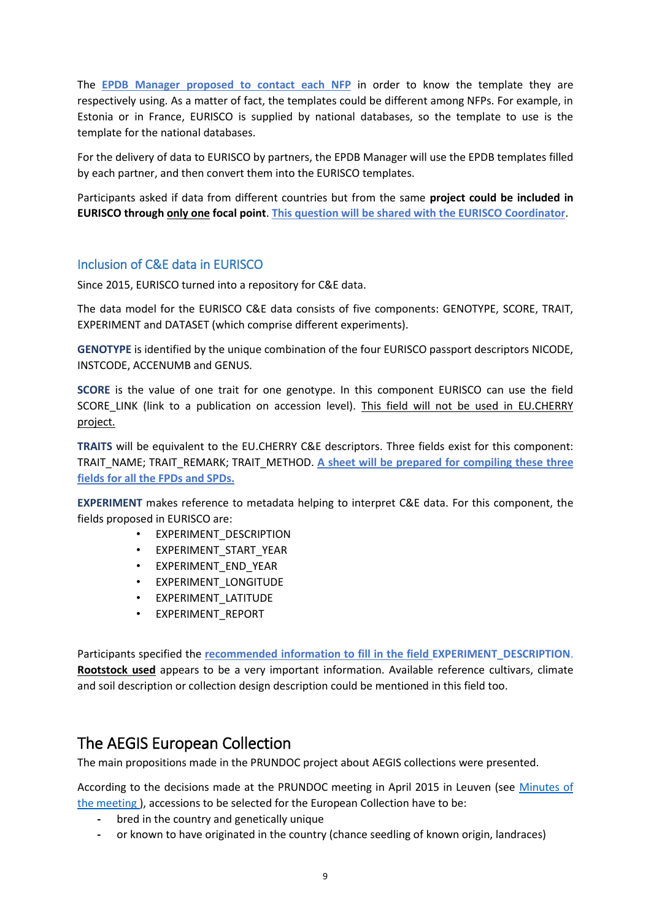The **EPDB Manager proposed to contact each NFP** in order to know the template they are respectively using. As a matter of fact, the templates could be different among NFPs. For example, in Estonia or in France, EURISCO is supplied by national databases, so the template to use is the template for the national databases.

For the delivery of data to EURISCO by partners, the EPDB Manager will use the EPDB templates filled by each partner, and then convert them into the EURISCO templates.

Participants asked if data from different countries but from the same **project could be included in EURISCO through only one focal point**. **This question will be shared with the EURISCO Coordinator**.

## Inclusion of C&E data in EURISCO

Since 2015, EURISCO turned into a repository for C&E data.

The data model for the EURISCO C&E data consists of five components: GENOTYPE, SCORE, TRAIT, EXPERIMENT and DATASET (which comprise different experiments).

**GENOTYPE** is identified by the unique combination of the four EURISCO passport descriptors NICODE, INSTCODE, ACCENUMB and GENUS.

**SCORE** is the value of one trait for one genotype. In this component EURISCO can use the field SCORE\_LINK (link to a publication on accession level). This field will not be used in EU.CHERRY project.

**TRAITS** will be equivalent to the EU.CHERRY C&E descriptors. Three fields exist for this component: TRAIT\_NAME; TRAIT\_REMARK; TRAIT\_METHOD. **A sheet will be prepared for compiling these three fields for all the FPDs and SPDs.**

**EXPERIMENT** makes reference to metadata helping to interpret C&E data. For this component, the fields proposed in EURISCO are:

- EXPERIMENT\_DESCRIPTION
- EXPERIMENT\_START\_YEAR
- EXPERIMENT\_END\_YEAR
- EXPERIMENT\_LONGITUDE
- EXPERIMENT\_LATITUDE
- EXPERIMENT\_REPORT

Participants specified the **recommended information to fill in the field EXPERIMENT\_DESCRIPTION**. **Rootstock used** appears to be a very important information. Available reference cultivars, climate and soil description or collection design description could be mentioned in this field too.

## The AEGIS European Collection

The main propositions made in the PRUNDOC project about AEGIS collections were presented.

According to the decisions made at the PRUNDOC meeting in April 2015 in Leuven (see [Minutes of](http://www.ecpgr.cgiar.org/fileadmin/templates/ecpgr.org/upload/ACTIVITY_GRANT_SCHEME/PROJECTS_FIRST_CALL/PRUNDCO/Minutes_Prundoc_Meeting_Final_07092015.pdf)  [the meeting \)](http://www.ecpgr.cgiar.org/fileadmin/templates/ecpgr.org/upload/ACTIVITY_GRANT_SCHEME/PROJECTS_FIRST_CALL/PRUNDCO/Minutes_Prundoc_Meeting_Final_07092015.pdf), accessions to be selected for the European Collection have to be:

- **-** bred in the country and genetically unique
- **-** or known to have originated in the country (chance seedling of known origin, landraces)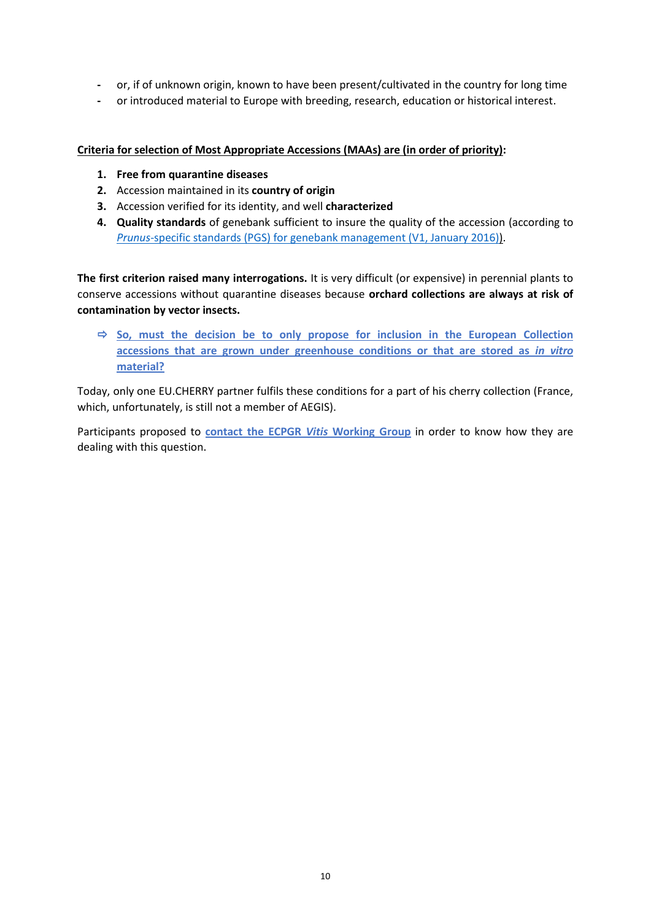- **-** or, if of unknown origin, known to have been present/cultivated in the country for long time
- **-** or introduced material to Europe with breeding, research, education or historical interest.

#### **Criteria for selection of Most Appropriate Accessions (MAAs) are (in order of priority):**

- **1. Free from quarantine diseases**
- **2.** Accession maintained in its **country of origin**
- **3.** Accession verified for its identity, and well **characterized**
- **4. Quality standards** of genebank sufficient to insure the quality of the accession (according to *Prunus[-specific standards \(PGS\) for genebank management \(V1, January 2016\)\)](http://www.ecpgr.cgiar.org/fileadmin/templates/ecpgr.org/upload/WG_UPLOADS_PHASE_IX/PRUNUS/PGS_V1_final_20_January_2016.pdf).*

**The first criterion raised many interrogations.** It is very difficult (or expensive) in perennial plants to conserve accessions without quarantine diseases because **orchard collections are always at risk of contamination by vector insects.** 

 $\Rightarrow$  So, must the decision be to only propose for inclusion in the European Collection **accessions that are grown under greenhouse conditions or that are stored as** *in vitro* **material?**

Today, only one EU.CHERRY partner fulfils these conditions for a part of his cherry collection (France, which, unfortunately, is still not a member of AEGIS).

Participants proposed to **contact the ECPGR** *Vitis* **Working Group** in order to know how they are dealing with this question.